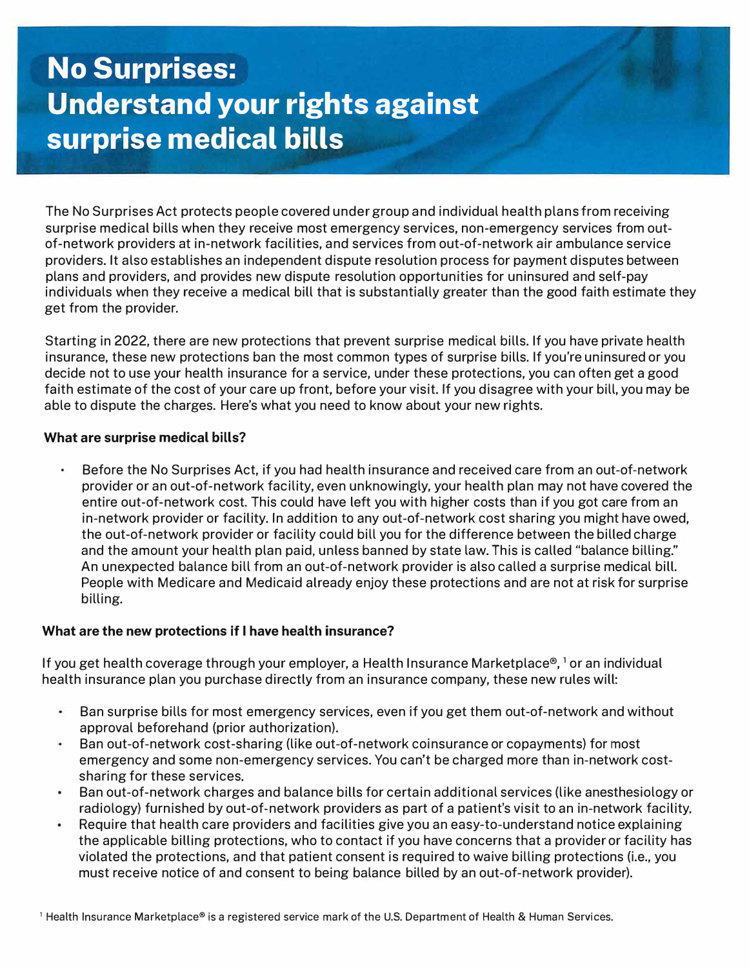# **No Surprises: Understand your rights against surprise medical bills**

The No Surprises Act protects people covered under group and individual health plans from receiving surprise medical bills when they receive most emergency services, non-emergency services from outof-network providers at in-network facilities, and services from out-of-network air ambulance service providers. It also establishes an independent dispute resolution process for payment disputes between plans and providers, and provides new dispute resolution opportunities for uninsured and self-pay individuals when they receive a medical bill that is substantially greater than the good faith estimate they get from the provider.

Starting in 2022, there are new protections that prevent surprise medical bills. If you have private health insurance, these new protections ban the most common types of surprise bills. If you're uninsured or you decide not to use your health insurance for a service, under these protections, you can often get a good faith estimate of the cost of your care up front, before your visit. If you disagree with your bill, you may be able to dispute the charges. Here's what you need to know about your new rights.

## **What are surprise medical bills?**

Before the No Surprises Act, if you had health insurance and received care from an out-of-network provider or an out-of-network facility, even unknowingly, your health plan may not have covered the entire out-of-network cost. This could have left you with higher costs than if you got care from an in-network provider or facility. In addition to any out-of-network cost sharing you might have owed, the out-of-network provider or facility could bill you for the difference between the billed charge and the amount your health plan paid, unless banned by state law. This is called "balance billing." An unexpected balance bill from an out-of-network provider is also called a surprise medical bill. People with Medicare and Medicaid already enjoy these protections and are not at risk for surprise billing.

## **What are the new protections if I have health insurance?**

If you get health coverage through your employer, a Health Insurance Marketplace®, ' or an individual health insurance plan you purchase directly from an insurance company, these new rules will:

- $\bullet$ Ban surprise bills for most emergency services, even if you get them out-of-network and without approval beforehand (prior authorization).
- Ban out-of-network cost-sharing (like out-of-network coinsurance or copayments) for most ۰ emergency and some non-emergency services. You can't be charged more than in-network costsharing for these services.
- $\bullet$ Ban out-of-network charges and balance bills for certain additional services (like anesthesiology or radiology) furnished by out-of-network providers as part of a patient's visit to an in-network facility.
- Require that health care providers and facilities give you an easy-to-understand notice explaining the applicable billing protections, who to contact if you have concerns that a provider or facility has violated the protections, and that patient consent is required to waive billing protections (i.e., you must receive notice of and consent to being balance billed by an out-of-network provider).

<sup>1</sup> Health Insurance Marketplace® is a registered service mark of the U.S. Department of Health & Human Services.